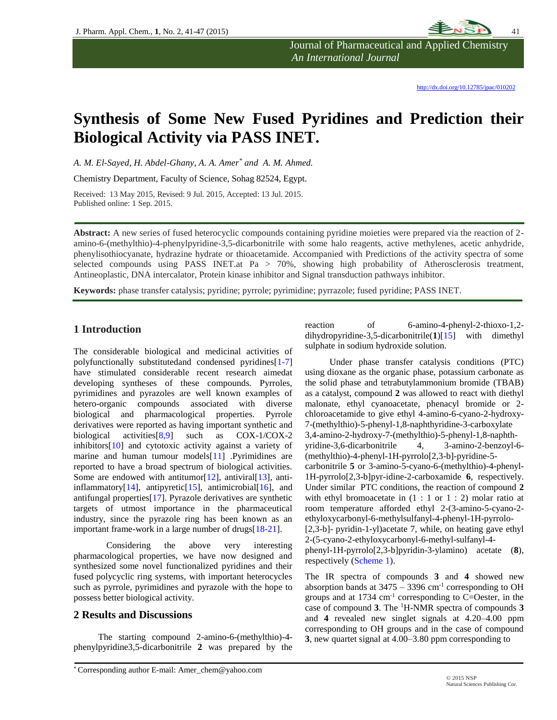

Journal of Pharmaceutical and Applied Chemistry  *An International Journal*

<http://dx.doi.org/10.12785/jpac/010202>

# **Synthesis of Some New Fused Pyridines and Prediction their Biological Activity via PASS INET.**

*A. M. El-Sayed, H. Abdel-Ghany, A. A. Amer\* and A. M. Ahmed.*

Chemistry Department, Faculty of Science, Sohag 82524, Egypt.

Received: 13 May 2015, Revised: 9 Jul. 2015, Accepted: 13 Jul. 2015. Published online: 1 Sep. 2015.

**Abstract:** A new series of fused heterocyclic compounds containing pyridine moieties were prepared via the reaction of 2 amino-6-(methylthio)-4-phenylpyridine-3,5-dicarbonitrile with some halo reagents, active methylenes, acetic anhydride, phenylisothiocyanate, hydrazine hydrate or thioacetamide. Accompanied with Predictions of the activity spectra of some selected compounds using PASS INET.at Pa > 70%, showing high probability of Atherosclerosis treatment, Antineoplastic, DNA intercalator, Protein kinase inhibitor and Signal transduction pathways inhibitor.

**Keywords:** phase transfer catalysis; pyridine; pyrrole; pyrimidine; pyrrazole; fused pyridine; PASS INET.

# **1 Introduction**

The considerable biological and medicinal activities of polyfunctionally substitutedand condensed pyridines[1-7] have stimulated considerable recent research aimedat developing syntheses of these compounds. Pyrroles, pyrimidines and pyrazoles are well known examples of hetero-organic compounds associated with diverse biological and pharmacological properties. Pyrrole derivatives were reported as having important synthetic and biological activities[8,9] such as COX-1/COX-2 inhibitors[10] and cytotoxic activity against a variety of marine and human tumour models[11] .Pyrimidines are reported to have a broad spectrum of biological activities. Some are endowed with antitumor [12], antiviral [13], antiinflammatory[14], antipyretic[15], antimicrobial[16], and antifungal properties[17]. Pyrazole derivatives are synthetic targets of utmost importance in the pharmaceutical industry, since the pyrazole ring has been known as an important frame-work in a large number of drugs[18-21].

Considering the above very interesting pharmacological properties, we have now designed and synthesized some novel functionalized pyridines and their fused polycyclic ring systems, with important heterocycles such as pyrrole, pyrimidines and pyrazole with the hope to possess better biological activity.

# **2 Results and Discussions**

The starting compound 2-amino-6-(methylthio)-4 phenylpyridine3,5-dicarbonitrile **2** was prepared by the reaction of 6-amino-4-phenyl-2-thioxo-1,2 dihydropyridine-3,5-dicarbonitrile(**1**)[15] with dimethyl sulphate in sodium hydroxide solution.

Under phase transfer catalysis conditions (PTC) using dioxane as the organic phase, potassium carbonate as the solid phase and tetrabutylammonium bromide (TBAB) as a catalyst, compound **2** was allowed to react with diethyl malonate, ethyl cyanoacetate, phenacyl bromide or 2 chloroacetamide to give ethyl 4-amino-6-cyano-2-hydroxy-7-(methylthio)-5-phenyl-1,8-naphthyridine-3-carboxylate 3,4-amino-2-hydroxy-7-(methylthio)-5-phenyl-1,8-naphthyridine-3,6-dicarbonitrile 4, 3-amino-2-benzoyl-6- (methylthio)-4-phenyl-1H-pyrrolo[2,3-b]-pyridine-5 carbonitrile **5** or 3-amino-5-cyano-6-(methylthio)-4-phenyl-1H-pyrrolo[2,3-b]pyr-idine-2-carboxamide **6**, respectively. Under similar PTC conditions, the reaction of compound **2** with ethyl bromoacetate in  $(1 : 1 \text{ or } 1 : 2)$  molar ratio at room temperature afforded ethyl 2-(3-amino-5-cyano-2 ethyloxycarbonyl-6-methylsulfanyl-4-phenyl-1H-pyrrolo- [2,3-b]- pyridin-1-yl)acetate 7, while, on heating gave ethyl 2-(5-cyano-2-ethyloxycarbonyl-6-methyl-sulfanyl-4 phenyl-1H-pyrrolo[2,3-b]pyridin-3-ylamino) acetate (**8**), respectively (Scheme 1).

The IR spectra of compounds **3** and **4** showed new absorption bands at  $3475 - 3396$  cm<sup>-1</sup> corresponding to OH groups and at  $1734 \text{ cm}^{-1}$  corresponding to C=Oester, in the case of compound **3**. The <sup>1</sup>H-NMR spectra of compounds **3** and **4** revealed new singlet signals at 4.20–4.00 ppm corresponding to OH groups and in the case of compound **3**, new quartet signal at 4.00–3.80 ppm corresponding to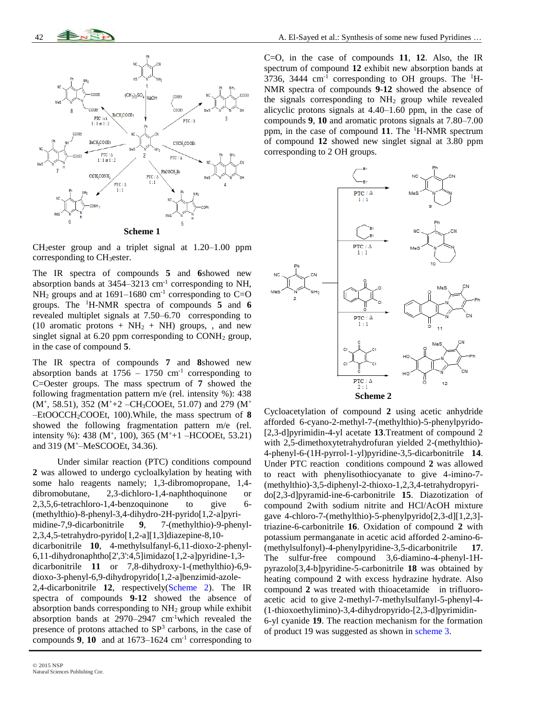

CH2ester group and a triplet signal at 1.20–1.00 ppm corresponding to CH<sub>3</sub>ester.

The IR spectra of compounds **5** and **6**showed new absorption bands at  $3454 - 3213$  cm<sup>-1</sup> corresponding to NH,  $NH<sub>2</sub>$  groups and at 1691–1680 cm<sup>-1</sup> corresponding to C=O groups. The <sup>1</sup>H-NMR spectra of compounds **5** and **6** revealed multiplet signals at 7.50–6.70 corresponding to (10 aromatic protons +  $NH<sub>2</sub>$  + NH) groups, , and new singlet signal at  $6.20$  ppm corresponding to CONH<sub>2</sub> group, in the case of compound **5**.

The IR spectra of compounds **7** and **8**showed new absorption bands at  $1756 - 1750$  cm<sup>-1</sup> corresponding to C=Oester groups. The mass spectrum of **7** showed the following fragmentation pattern m/e (rel. intensity %): 438 (M<sup>+</sup>, 58.51), 352 (M<sup>+</sup>+2 -CH<sub>3</sub>COOEt, 51.07) and 279 (M<sup>+</sup> –EtOOCCH2COOEt, 100).While, the mass spectrum of **8** showed the following fragmentation pattern m/e (rel. intensity %): 438 ( $M^+$ , 100), 365 ( $M^+$ +1 –HCOOEt, 53.21) and 319 (M<sup>+</sup>–MeSCOOEt, 34.36).

Under similar reaction (PTC) conditions compound **2** was allowed to undergo cycloalkylation by heating with some halo reagents namely; 1,3-dibromopropane, 1,4 dibromobutane, 2,3-dichloro-1,4-naphthoquinone or 2,3,5,6-tetrachloro-1,4-benzoquinone to give 6- (methylthio)-8-phenyl-3,4-dihydro-2H-pyrido[1,2-a]pyrimidine-7,9-dicarbonitrile **9**, 7-(methylthio)-9-phenyl-2,3,4,5-tetrahydro-pyrido[1,2-a][1,3]diazepine-8,10 dicarbonitrile **10**, 4-methylsulfanyl-6,11-dioxo-2-phenyl-6,11-dihydronaphtho[2',3':4,5]imidazo[1,2-a]pyridine-1,3 dicarbonitrile **11** or 7,8-dihydroxy-1-(methylthio)-6,9 dioxo-3-phenyl-6,9-dihydropyrido[1,2-a]benzimid-azole-2,4-dicarbonitrile **12**, respectively(Scheme 2). The IR spectra of compounds **9-12** showed the absence of absorption bands corresponding to NH<sup>2</sup> group while exhibit absorption bands at 2970–2947 cm-1which revealed the presence of protons attached to  $SP<sup>3</sup>$  carbons, in the case of compounds  $9$ ,  $10$  and at  $1673-1624$  cm<sup>-1</sup> corresponding to C=O, in the case of compounds **11**, **12**. Also, the IR spectrum of compound **12** exhibit new absorption bands at 3736, 3444  $\text{cm}^{-1}$  corresponding to OH groups. The  $^{1}$ H-NMR spectra of compounds **9**-**12** showed the absence of the signals corresponding to  $NH<sub>2</sub>$  group while revealed alicyclic protons signals at 4.40–1.60 ppm, in the case of compounds **9**, **10** and aromatic protons signals at 7.80–7.00 ppm, in the case of compound **11**. The <sup>1</sup>H-NMR spectrum of compound **12** showed new singlet signal at 3.80 ppm corresponding to 2 OH groups.



Cycloacetylation of compound **2** using acetic anhydride afforded 6-cyano-2-methyl-7-(methylthio)-5-phenylpyrido- [2,3-d]pyrimidin-4-yl acetate **13**.Treatment of compound 2 with 2,5-dimethoxytetrahydrofuran yielded 2-(methylthio)- 4-phenyl-6-(1H-pyrrol-1-yl)pyridine-3,5-dicarbonitrile **14**. Under PTC reaction conditions compound **2** was allowed to react with phenylisothiocyanate to give 4-imino-7- (methylthio)-3,5-diphenyl-2-thioxo-1,2,3,4-tetrahydropyrido[2,3-d]pyramid-ine-6-carbonitrile **15**. Diazotization of compound 2with sodium nitrite and HCl/AcOH mixture gave 4-chloro-7-(methylthio)-5-phenylpyrido[2,3-d][1,2,3] triazine-6-carbonitrile **16**. Oxidation of compound **2** with potassium permanganate in acetic acid afforded 2-amino-6- (methylsulfonyl)-4-phenylpyridine-3,5-dicarbonitrile **17**. The sulfur-free compound 3,6-diamino-4-phenyl-1Hpyrazolo[3,4-b]pyridine-5-carbonitrile **18** was obtained by heating compound **2** with excess hydrazine hydrate. Also compound **2** was treated with thioacetamide in trifluoroacetic acid to give 2-methyl-7-methylsulfanyl-5-phenyl-4- (1-thioxoethylimino)-3,4-dihydropyrido-[2,3-d]pyrimidin-6-yl cyanide **19**. The reaction mechanism for the formation of product 19 was suggested as shown in scheme 3.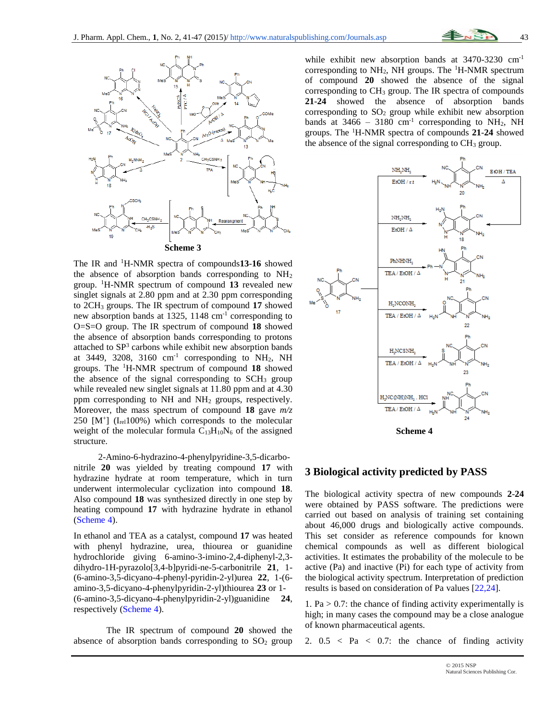

The IR and <sup>1</sup>H-NMR spectra of compounds**13**-**16** showed the absence of absorption bands corresponding to NH<sup>2</sup> group. <sup>1</sup>H-NMR spectrum of compound **13** revealed new singlet signals at 2.80 ppm and at 2.30 ppm corresponding to 2CH<sup>3</sup> groups. The IR spectrum of compound **17** showed new absorption bands at 1325, 1148 cm-1 corresponding to O=S=O group. The IR spectrum of compound **18** showed the absence of absorption bands corresponding to protons attached to  $SP<sup>3</sup>$  carbons while exhibit new absorption bands at 3449, 3208, 3160  $cm^{-1}$  corresponding to NH<sub>2</sub>, NH groups. The <sup>1</sup>H-NMR spectrum of compound **18** showed the absence of the signal corresponding to  $SCH<sub>3</sub>$  group while revealed new singlet signals at 11.80 ppm and at 4.30 ppm corresponding to  $NH$  and  $NH<sub>2</sub>$  groups, respectively. Moreover, the mass spectrum of compound **18** gave *m/z*  $250$  [M<sup>+</sup>] (I<sub>rel</sub>100%) which corresponds to the molecular weight of the molecular formula  $C_{13}H_{10}N_6$  of the assigned structure.

2-Amino-6-hydrazino-4-phenylpyridine-3,5-dicarbonitrile **20** was yielded by treating compound **17** with hydrazine hydrate at room temperature, which in turn underwent intermolecular cyclization into compound **18**. Also compound **18** was synthesized directly in one step by heating compound **17** with hydrazine hydrate in ethanol (Scheme 4).

In ethanol and TEA as a catalyst, compound **17** was heated with phenyl hydrazine, urea, thiourea or guanidine hydrochloride giving 6-amino-3-imino-2,4-diphenyl-2,3 dihydro-1H-pyrazolo[3,4-b]pyridi-ne-5-carbonitrile **21**, 1- (6-amino-3,5-dicyano-4-phenyl-pyridin-2-yl)urea **22**, 1-(6 amino-3,5-dicyano-4-phenylpyridin-2-yl)thiourea **23** or 1- (6-amino-3,5-dicyano-4-phenylpyridin-2-yl)guanidine **24**, respectively (Scheme 4).

The IR spectrum of compound **20** showed the absence of absorption bands corresponding to  $SO<sub>2</sub>$  group while exhibit new absorption bands at 3470-3230 cm<sup>-1</sup> corresponding to  $NH_2$ , NH groups. The <sup>1</sup>H-NMR spectrum of compound **20** showed the absence of the signal corresponding to CH<sup>3</sup> group. The IR spectra of compounds **21**-**24** showed the absence of absorption bands corresponding to  $SO<sub>2</sub>$  group while exhibit new absorption bands at  $3466 - 3180$  cm<sup>-1</sup> corresponding to NH<sub>2</sub>, NH groups. The <sup>1</sup>H-NMR spectra of compounds **21**-**24** showed the absence of the signal corresponding to  $CH<sub>3</sub>$  group.



#### **3 Biological activity predicted by PASS**

The biological activity spectra of new compounds **2**-**24** were obtained by PASS software. The predictions were carried out based on analysis of training set containing about 46,000 drugs and biologically active compounds. This set consider as reference compounds for known chemical compounds as well as different biological activities. It estimates the probability of the molecule to be active (Pa) and inactive (Pi) for each type of activity from the biological activity spectrum. Interpretation of prediction results is based on consideration of Pa values [22,24].

1. Pa  $> 0.7$ : the chance of finding activity experimentally is high; in many cases the compound may be a close analogue of known pharmaceutical agents.

2.  $0.5 < Pa < 0.7$ : the chance of finding activity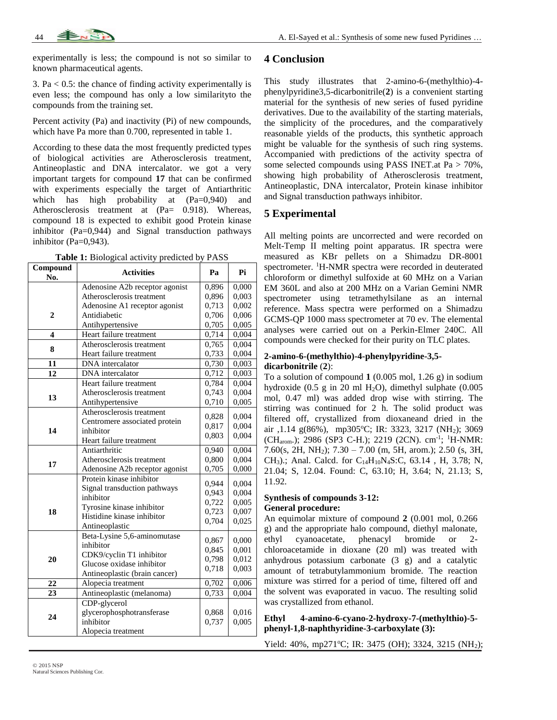experimentally is less; the compound is not so similar to known pharmaceutical agents.

3. Pa  $< 0.5$ : the chance of finding activity experimentally is even less; the compound has only a low similarityto the compounds from the training set.

Percent activity (Pa) and inactivity (Pi) of new compounds, which have Pa more than 0.700, represented in table 1.

According to these data the most frequently predicted types of biological activities are Atherosclerosis treatment, Antineoplastic and DNA intercalator. we got a very important targets for compound **17** that can be confirmed with experiments especially the target of Antiarthritic which has high probability at  $(Pa=0.940)$  and Atherosclerosis treatment at (Pa= 0.918). Whereas, compound 18 is expected to exhibit good Protein kinase inhibitor (Pa=0,944) and Signal transduction pathways inhibitor (Pa=0,943).

|  | Table 1: Biological activity predicted by PASS |  |  |  |  |
|--|------------------------------------------------|--|--|--|--|
|--|------------------------------------------------|--|--|--|--|

| Compound<br>No. | <b>Activities</b>              | Pa    | Pi    |
|-----------------|--------------------------------|-------|-------|
|                 | Adenosine A2b receptor agonist | 0,896 | 0.000 |
|                 | Atherosclerosis treatment      | 0,896 | 0,003 |
|                 | Adenosine A1 receptor agonist  | 0.713 | 0,002 |
| $\mathbf{2}$    | Antidiabetic                   | 0,706 | 0,006 |
|                 | Antihypertensive               | 0,705 | 0,005 |
| 4               | Heart failure treatment        | 0,714 | 0,004 |
| 8               | Atherosclerosis treatment      | 0,765 | 0,004 |
|                 | Heart failure treatment        | 0,733 | 0,004 |
| 11              | <b>DNA</b> intercalator        | 0,730 | 0,003 |
| 12              | DNA intercalator               | 0,712 | 0,003 |
|                 | Heart failure treatment        | 0,784 | 0,004 |
| 13              | Atherosclerosis treatment      | 0,743 | 0,004 |
|                 | Antihypertensive               | 0,710 | 0,005 |
| 14              | Atherosclerosis treatment      | 0,828 | 0.004 |
|                 | Centromere associated protein  | 0.817 | 0,004 |
|                 | inhibitor                      | 0,803 | 0,004 |
|                 | Heart failure treatment        |       |       |
|                 | Antiarthritic                  | 0,940 | 0,004 |
| 17              | Atherosclerosis treatment      | 0,800 | 0,004 |
|                 | Adenosine A2b receptor agonist | 0,705 | 0,000 |
|                 | Protein kinase inhibitor       | 0.944 | 0.004 |
|                 | Signal transduction pathways   | 0,943 | 0,004 |
|                 | inhibitor                      | 0,722 | 0,005 |
| 18              | Tyrosine kinase inhibitor      | 0,723 | 0,007 |
|                 | Histidine kinase inhibitor     | 0,704 | 0,025 |
|                 | Antineoplastic                 |       |       |
|                 | Beta-Lysine 5,6-aminomutase    | 0,867 | 0.000 |
|                 | inhibitor                      | 0,845 | 0,001 |
| 20              | CDK9/cyclin T1 inhibitor       | 0,798 | 0,012 |
|                 | Glucose oxidase inhibitor      | 0,718 | 0,003 |
|                 | Antineoplastic (brain cancer)  |       |       |
| 22              | Alopecia treatment             | 0,702 | 0,006 |
| 23              | Antineoplastic (melanoma)      | 0.733 | 0,004 |
|                 | CDP-glycerol                   |       |       |
| 24              | glycerophosphotransferase      | 0,868 | 0,016 |
|                 | inhibitor                      | 0,737 | 0,005 |
|                 | Alopecia treatment             |       |       |

## **4 Conclusion**

This study illustrates that 2-amino-6-(methylthio)-4 phenylpyridine3,5-dicarbonitrile(**2**) is a convenient starting material for the synthesis of new series of fused pyridine derivatives. Due to the availability of the starting materials, the simplicity of the procedures, and the comparatively reasonable yields of the products, this synthetic approach might be valuable for the synthesis of such ring systems. Accompanied with predictions of the activity spectra of some selected compounds using PASS INET.at Pa > 70%, showing high probability of Atherosclerosis treatment, Antineoplastic, DNA intercalator, Protein kinase inhibitor and Signal transduction pathways inhibitor.

# **5 Experimental**

All melting points are uncorrected and were recorded on Melt-Temp II melting point apparatus. IR spectra were measured as KBr pellets on a Shimadzu DR-8001 spectrometer. <sup>1</sup>H-NMR spectra were recorded in deuterated chloroform or dimethyl sulfoxide at 60 MHz on a Varian EM 360L and also at 200 MHz on a Varian Gemini NMR spectrometer using tetramethylsilane as an internal reference. Mass spectra were performed on a Shimadzu GCMS-QP 1000 mass spectrometer at 70 ev. The elemental analyses were carried out on a Perkin-Elmer 240C. All compounds were checked for their purity on TLC plates.

#### **2-amino-6-(methylthio)-4-phenylpyridine-3,5 dicarbonitrile** (**2**):

To a solution of compound **1** (0.005 mol, 1.26 g) in sodium hydroxide (0.5 g in 20 ml  $H_2O$ ), dimethyl sulphate (0.005 mol, 0.47 ml) was added drop wise with stirring. The stirring was continued for 2 h. The solid product was filtered off, crystallized from dioxaneand dried in the air ,1.14 g(86%), mp305°C; IR: 3323, 3217 (NH<sub>2</sub>); 3069 (CH<sub>arom</sub>.); 2986 (SP3 C-H.); 2219 (2CN). cm<sup>-1</sup>; <sup>1</sup>H-NMR: 7.60(s, 2H, NH2); 7.30 – 7.00 (m, 5H, arom.); 2.50 (s, 3H, CH3).; Anal. Calcd. for C14H10N4S:C, 63.14 , H, 3.78; N, 21.04; S, 12.04. Found: C, 63.10; H, 3.64; N, 21.13; S, 11.92.

## **Synthesis of compounds 3-12: General procedure:**

An equimolar mixture of compound **2** (0.001 mol, 0.266 g) and the appropriate halo compound, diethyl malonate, ethyl cyanoacetate, phenacyl bromide or 2 chloroacetamide in dioxane (20 ml) was treated with anhydrous potassium carbonate (3 g) and a catalytic amount of tetrabutylammonium bromide. The reaction mixture was stirred for a period of time, filtered off and the solvent was evaporated in vacuo. The resulting solid was crystallized from ethanol.

**Ethyl 4-amino-6-cyano-2-hydroxy-7-(methylthio)-5 phenyl-1,8-naphthyridine-3-carboxylate (3):**

Yield: 40%, mp271°C; IR: 3475 (OH); 3324, 3215 (NH<sub>2</sub>);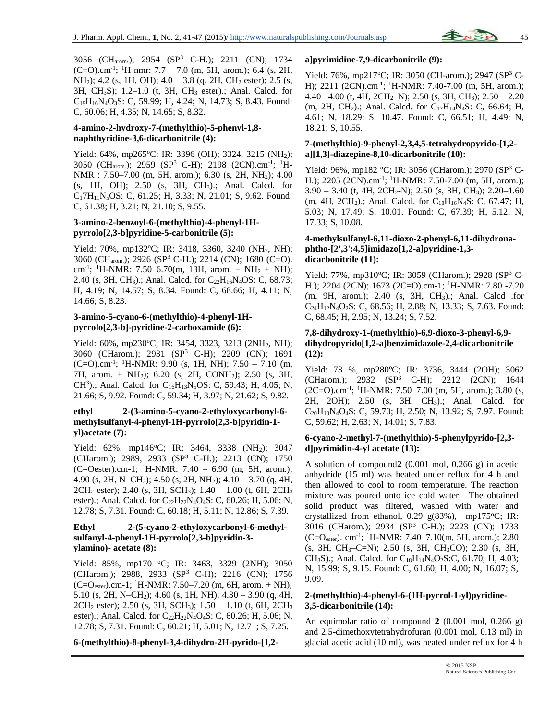3056 (CHarom.); 2954 (SP<sup>3</sup> C-H.); 2211 (CN); 1734  $(C=O)$ .cm<sup>-1</sup>; <sup>1</sup>H nmr: 7.7 – 7.0 (m, 5H, arom.); 6.4 (s, 2H, NH<sub>2</sub>); 4.2 (s, 1H, OH); 4.0 – 3.8 (q, 2H, CH<sub>2</sub> ester); 2.5 (s, 3H, CH3S); 1.2–1.0 (t, 3H, CH<sup>3</sup> ester).; Anal. Calcd. for  $C_{19}H_{16}N_4O_3S$ : C, 59.99; H, 4.24; N, 14.73; S, 8.43. Found: C, 60.06; H, 4.35; N, 14.65; S, 8.32.

## **4-amino-2-hydroxy-7-(methylthio)-5-phenyl-1,8 naphthyridine-3,6-dicarbonitrile (4):**

Yield: 64%, mp265°C; IR: 3396 (OH); 3324, 3215 (NH<sub>2</sub>); 3050 (CH<sub>arom.</sub>); 2959 (SP<sup>3</sup> C-H); 2198 (2CN).cm<sup>-1</sup>; <sup>1</sup>H-NMR : 7.50–7.00 (m, 5H, arom.); 6.30 (s, 2H, NH2); 4.00 (s, 1H, OH); 2.50 (s, 3H, CH3).; Anal. Calcd. for C<sub>1</sub>7H<sub>11</sub>N<sub>5</sub>OS: C, 61.25; H, 3.33; N, 21.01; S, 9.62. Found: C, 61.38; H, 3.21; N, 21.10; S, 9.55.

## **3-amino-2-benzoyl-6-(methylthio)-4-phenyl-1Hpyrrolo[2,3-b]pyridine-5-carbonitrile (5):**

Yield: 70%, mp132°C; IR: 3418, 3360, 3240 (NH<sub>2</sub>, NH); 3060 (CHarom.); 2926 (SP<sup>3</sup> C-H.); 2214 (CN); 1680 (C=O). cm<sup>-1</sup>; <sup>1</sup>H-NMR: 7.50–6.70(m, 13H, arom. + NH<sub>2</sub> + NH); 2.40 (s, 3H, CH<sub>3</sub>).; Anal. Calcd. for C<sub>22</sub>H<sub>16</sub>N<sub>4</sub>OS: C, 68.73; H, 4.19; N, 14.57; S, 8.34. Found: C, 68.66; H, 4.11; N, 14.66; S, 8.23.

## **3-amino-5-cyano-6-(methylthio)-4-phenyl-1Hpyrrolo[2,3-b]-pyridine-2-carboxamide (6):**

Yield: 60%, mp230°C; IR: 3454, 3323, 3213 (2NH<sub>2</sub>, NH); 3060 (CHarom.); 2931 (SP<sup>3</sup> C-H); 2209 (CN); 1691  $(C=O)$ .cm<sup>-1</sup>; <sup>1</sup>H-NMR: 9.90 (s, 1H, NH); 7.50 – 7.10 (m, 7H, arom. + NH2); 6.20 (s, 2H, CONH2); 2.50 (s, 3H, CH<sup>3</sup>).; Anal. Calcd. for C<sub>16</sub>H<sub>13</sub>N<sub>5</sub>OS: C, 59.43; H, 4.05; N, 21.66; S, 9.92. Found: C, 59.34; H, 3.97; N, 21.62; S, 9.82.

#### **ethyl 2-(3-amino-5-cyano-2-ethyloxycarbonyl-6 methylsulfanyl-4-phenyl-1H-pyrrolo[2,3-b]pyridin-1 yl)acetate (7):**

Yield:  $62\%$ , mp146°C; IR: 3464, 3338 (NH<sub>2</sub>); 3047 (CHarom.); 2989, 2933 (SP<sup>3</sup> C-H.); 2213 (CN); 1750  $(C=Oester).cm-1$ ; <sup>1</sup>H-NMR: 7.40 – 6.90 (m, 5H, arom.); 4.90 (s, 2H, N–CH2); 4.50 (s, 2H, NH2); 4.10 – 3.70 (q, 4H, 2CH<sup>2</sup> ester); 2.40 (s, 3H, SCH3); 1.40 – 1.00 (t, 6H, 2CH<sup>3</sup> ester).; Anal. Calcd. for C<sub>22</sub>H<sub>22</sub>N<sub>4</sub>O<sub>4</sub>S: C, 60.26; H, 5.06; N, 12.78; S, 7.31. Found: C, 60.18; H, 5.11; N, 12.86; S, 7.39.

#### **Ethyl 2-(5-cyano-2-ethyloxycarbonyl-6-methylsulfanyl-4-phenyl-1H-pyrrolo[2,3-b]pyridin-3 ylamino)- acetate (8):**

Yield: 85%, mp170 °C; IR: 3463, 3329 (2NH); 3050 (CHarom.); 2988, 2933 (SP<sup>3</sup> C-H); 2216 (CN); 1756  $(C=O_{\text{ester}})$ .cm-1; <sup>1</sup>H-NMR: 7.50–7.20 (m, 6H, arom. + NH); 5.10 (s, 2H, N–CH<sub>2</sub>); 4.60 (s, 1H, NH);  $4.30 - 3.90$  (g, 4H, 2CH<sup>2</sup> ester); 2.50 (s, 3H, SCH3); 1.50 – 1.10 (t, 6H, 2CH<sup>3</sup> ester).; Anal. Calcd. for C<sub>22</sub>H<sub>22</sub>N<sub>4</sub>O<sub>4</sub>S: C, 60.26; H, 5.06; N, 12.78; S, 7.31. Found: C, 60.21; H, 5.01; N, 12.71; S, 7.25.

## **6-(methylthio)-8-phenyl-3,4-dihydro-2H-pyrido-[1,2-**

#### **a]pyrimidine-7,9-dicarbonitrile (9):**

Yield: 76%, mp217°C; IR: 3050 (CH-arom.); 2947 (SP<sup>3</sup> C-H); 2211 (2CN).cm<sup>-1</sup>; <sup>1</sup>H-NMR: 7.40-7.00 (m, 5H, arom.); 4.40– 4.00 (t, 4H, 2CH<sub>2</sub>–N); 2.50 (s, 3H, CH<sub>3</sub>); 2.50 – 2.20 (m, 2H, CH<sub>2</sub>).; Anal. Calcd. for  $C_{17}H_{14}N_4S$ : C, 66.64; H, 4.61; N, 18.29; S, 10.47. Found: C, 66.51; H, 4.49; N, 18.21; S, 10.55.

### **7-(methylthio)-9-phenyl-2,3,4,5-tetrahydropyrido-[1,2 a][1,3]-diazepine-8,10-dicarbonitrile (10):**

Yield: 96%, mp182 °C; IR: 3056 (CHarom.); 2970 (SP<sup>3</sup> C-H.); 2205 (2CN).cm<sup>-1</sup>; <sup>1</sup>H-NMR: 7.50-7.00 (m, 5H, arom.);  $3.90 - 3.40$  (t, 4H, 2CH<sub>2</sub>-N); 2.50 (s, 3H, CH<sub>3</sub>); 2.20–1.60 (m, 4H, 2CH<sub>2</sub>).; Anal. Calcd. for  $C_{18}H_{16}N_4S$ : C, 67.47; H, 5.03; N, 17.49; S, 10.01. Found: C, 67.39; H, 5.12; N, 17.33; S, 10.08.

#### **4-methylsulfanyl-6,11-dioxo-2-phenyl-6,11-dihydronaphtho-[2',3':4,5]imidazo[1,2-a]pyridine-1,3 dicarbonitrile (11):**

Yield: 77%, mp310°C; IR: 3059 (CHarom.); 2928 (SP<sup>3</sup> C-H.); 2204 (2CN); 1673 (2C=O).cm-1; <sup>1</sup>H-NMR: 7.80 -7.20 (m, 9H, arom.); 2.40 (s, 3H, CH3).; Anal. Calcd .for C24H12N4O2S: C, 68.56; H, 2.88; N, 13.33; S, 7.63. Found: C, 68.45; H, 2.95; N, 13.24; S, 7.52.

## **7,8-dihydroxy-1-(methylthio)-6,9-dioxo-3-phenyl-6,9 dihydropyrido[1,2-a]benzimidazole-2,4-dicarbonitrile (12):**

Yield: 73 %, mp280°C; IR: 3736, 3444 (2OH); 3062 (CHarom.); 2932 (SP<sup>3</sup> C-H); 2212 (2CN); 1644 (2C=O).cm-1 ; <sup>1</sup>H-NMR: 7.50–7.00 (m, 5H, arom.); 3.80 (s, 2H, 2OH); 2.50 (s, 3H, CH3).; Anal. Calcd. for C20H10N4O4S: C, 59.70; H, 2.50; N, 13.92; S, 7.97. Found: C, 59.62; H, 2.63; N, 14.01; S, 7.83.

#### **6-cyano-2-methyl-7-(methylthio)-5-phenylpyrido-[2,3 d]pyrimidin-4-yl acetate (13):**

A solution of compound**2** (0.001 mol, 0.266 g) in acetic anhydride (15 ml) was heated under reflux for 4 h and then allowed to cool to room temperature. The reaction mixture was poured onto ice cold water. The obtained solid product was filtered, washed with water and crystallized from ethanol, 0.29  $g(83\%)$ , mp175°C; IR: 3016 (CHarom.); 2934 (SP<sup>3</sup> C-H.); 2223 (CN); 1733 (C=O<sub>ester</sub>). cm<sup>-1</sup>; <sup>1</sup>H-NMR: 7.40–7.10(m, 5H, arom.); 2.80 (s, 3H, CH3–C=N); 2.50 (s, 3H, CH3CO); 2.30 (s, 3H, CH<sub>3</sub>S).; Anal. Calcd. for C<sub>18</sub>H<sub>14</sub>N<sub>4</sub>O<sub>2</sub>S:C, 61.70, H, 4.03; N, 15.99; S, 9.15. Found: C, 61.60; H, 4.00; N, 16.07; S, 9.09.

## **2-(methylthio)-4-phenyl-6-(1H-pyrrol-1-yl)pyridine-3,5-dicarbonitrile (14):**

An equimolar ratio of compound  $2(0.001 \text{ mol}, 0.266 \text{ g})$ and 2,5-dimethoxytetrahydrofuran (0.001 mol, 0.13 ml) in glacial acetic acid (10 ml), was heated under reflux for 4 h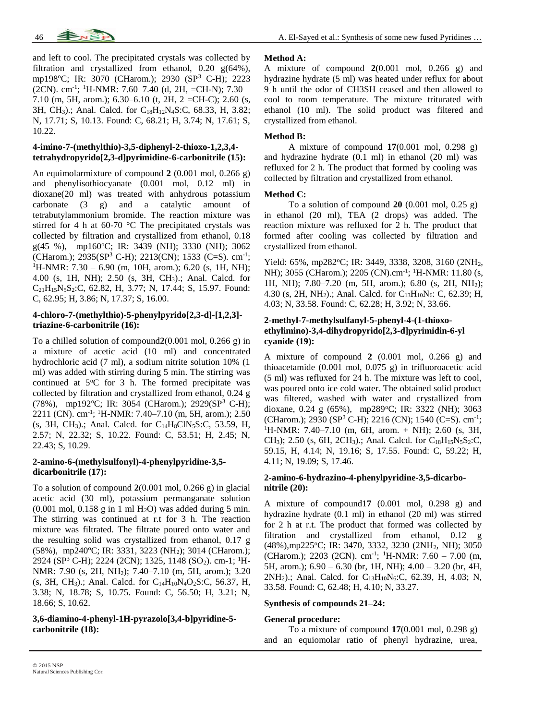

and left to cool. The precipitated crystals was collected by filtration and crystallized from ethanol, 0.20 g(64%), mp198<sup>o</sup>C; IR: 3070 (CHarom.); 2930 (SP<sup>3</sup> C-H); 2223 (2CN). cm-1 ; <sup>1</sup>H-NMR: 7.60–7.40 (d, 2H, =CH-N); 7.30 – 7.10 (m, 5H, arom.); 6.30–6.10 (t, 2H, 2 =CH-C); 2.60 (s, 3H, CH3).; Anal. Calcd. for C18H12N4S:C, 68.33, H, 3.82; N, 17.71; S, 10.13. Found: C, 68.21; H, 3.74; N, 17.61; S, 10.22.

## **4-imino-7-(methylthio)-3,5-diphenyl-2-thioxo-1,2,3,4 tetrahydropyrido[2,3-d]pyrimidine-6-carbonitrile (15):**

An equimolarmixture of compound **2** (0.001 mol, 0.266 g) and phenylisothiocyanate (0.001 mol, 0.12 ml) in dioxane(20 ml) was treated with anhydrous potassium carbonate (3 g) and a catalytic amount of tetrabutylammonium bromide. The reaction mixture was stirred for 4 h at 60-70 °C The precipitated crystals was collected by filtration and crystallized from ethanol, 0.18  $g(45 \%)$ , mp160°C; IR: 3439 (NH); 3330 (NH); 3062 (CHarom.); 2935(SP<sup>3</sup> C-H); 2213(CN); 1533 (C=S). cm<sup>-1</sup>;  ${}^{1}$ H-NMR: 7.30 – 6.90 (m, 10H, arom.); 6.20 (s, 1H, NH); 4.00 (s, 1H, NH); 2.50 (s, 3H, CH3).; Anal. Calcd. for C21H15N5S2:C, 62.82, H, 3.77; N, 17.44; S, 15.97. Found: C, 62.95; H, 3.86; N, 17.37; S, 16.00.

## **4-chloro-7-(methylthio)-5-phenylpyrido[2,3-d]-[1,2,3] triazine-6-carbonitrile (16):**

To a chilled solution of compound**2**(0.001 mol, 0.266 g) in a mixture of acetic acid (10 ml) and concentrated hydrochloric acid (7 ml), a sodium nitrite solution 10% (1 ml) was added with stirring during 5 min. The stirring was continued at  $5^{\circ}$ C for 3 h. The formed precipitate was collected by filtration and crystallized from ethanol, 0.24 g (78%), mp192°C; IR: 3054 (CHarom.); 2929(SP<sup>3</sup> C-H); 2211 (CN). cm-1 ; <sup>1</sup>H-NMR: 7.40–7.10 (m, 5H, arom.); 2.50  $(S, 3H, CH_3)$ .; Anal. Calcd. for C<sub>14</sub>H<sub>8</sub>ClN<sub>5</sub>S:C, 53.59, H, 2.57; N, 22.32; S, 10.22. Found: C, 53.51; H, 2.45; N, 22.43; S, 10.29.

## **2-amino-6-(methylsulfonyl)-4-phenylpyridine-3,5 dicarbonitrile (17):**

To a solution of compound **2**(0.001 mol, 0.266 g) in glacial acetic acid (30 ml), potassium permanganate solution  $(0.001 \text{ mol}, 0.158 \text{ g} \text{ in } 1 \text{ ml H}_2\text{O})$  was added during 5 min. The stirring was continued at r.t for 3 h. The reaction mixture was filtrated. The filtrate poured onto water and the resulting solid was crystallized from ethanol, 0.17 g (58%), mp240°C; IR: 3331, 3223 (NH<sub>2</sub>); 3014 (CHarom.); 2924 (SP<sup>3</sup> C-H); 2224 (2CN); 1325, 1148 (SO<sub>2</sub>). cm-1; <sup>1</sup>H-NMR: 7.90 (s, 2H, NH2); 7.40–7.10 (m, 5H, arom.); 3.20  $(s, 3H, CH<sub>3</sub>)$ .; Anal. Calcd. for C<sub>14</sub>H<sub>10</sub>N<sub>4</sub>O<sub>2</sub>S:C, 56.37, H, 3.38; N, 18.78; S, 10.75. Found: C, 56.50; H, 3.21; N, 18.66; S, 10.62.

## **3,6-diamino-4-phenyl-1H-pyrazolo[3,4-b]pyridine-5 carbonitrile (18):**

#### **Method A:**

A mixture of compound **2**(0.001 mol, 0.266 g) and hydrazine hydrate (5 ml) was heated under reflux for about 9 h until the odor of CH3SH ceased and then allowed to cool to room temperature. The mixture triturated with ethanol (10 ml). The solid product was filtered and crystallized from ethanol.

#### **Method B:**

A mixture of compound **17**(0.001 mol, 0.298 g) and hydrazine hydrate (0.1 ml) in ethanol (20 ml) was refluxed for 2 h. The product that formed by cooling was collected by filtration and crystallized from ethanol.

#### **Method C:**

To a solution of compound **20** (0.001 mol, 0.25 g) in ethanol (20 ml), TEA (2 drops) was added. The reaction mixture was refluxed for 2 h. The product that formed after cooling was collected by filtration and crystallized from ethanol.

Yield: 65%, mp282°C; IR: 3449, 3338, 3208, 3160 (2NH<sub>2</sub>, NH); 3055 (CHarom.); 2205 (CN).cm<sup>-1</sup>; <sup>1</sup>H-NMR: 11.80 (s, 1H, NH); 7.80–7.20 (m, 5H, arom.); 6.80 (s, 2H, NH2); 4.30 (s, 2H, NH<sub>2</sub>).; Anal. Calcd. for C<sub>13</sub>H<sub>10</sub>N<sub>6</sub>: C, 62.39; H, 4.03; N, 33.58. Found: C, 62.28; H, 3.92; N, 33.66.

## **2-methyl-7-methylsulfanyl-5-phenyl-4-(1-thioxoethylimino)-3,4-dihydropyrido[2,3-d]pyrimidin-6-yl cyanide (19):**

A mixture of compound **2** (0.001 mol, 0.266 g) and thioacetamide (0.001 mol, 0.075 g) in trifluoroacetic acid (5 ml) was refluxed for 24 h. The mixture was left to cool, was poured onto ice cold water. The obtained solid product was filtered, washed with water and crystallized from dioxane, 0.24 g (65%), mp289°C; IR: 3322 (NH); 3063 (CHarom.); 2930 (SP<sup>3</sup> C-H); 2216 (CN); 1540 (C=S). cm<sup>-1</sup>; <sup>1</sup>H-NMR: 7.40–7.10 (m, 6H, arom. + NH); 2.60 (s, 3H, CH<sub>3</sub>); 2.50 (s, 6H, 2CH<sub>3</sub>).; Anal. Calcd. for C<sub>18</sub>H<sub>15</sub>N<sub>5</sub>S<sub>2</sub>:C, 59.15, H, 4.14; N, 19.16; S, 17.55. Found: C, 59.22; H, 4.11; N, 19.09; S, 17.46.

## **2-amino-6-hydrazino-4-phenylpyridine-3,5-dicarbonitrile (20):**

A mixture of compound1**7** (0.001 mol, 0.298 g) and hydrazine hydrate (0.1 ml) in ethanol (20 ml) was stirred for 2 h at r.t. The product that formed was collected by filtration and crystallized from ethanol, 0.12 g (48%),mp225°C; IR: 3470, 3332, 3230 (2NH<sub>2</sub>, NH); 3050 (CHarom.); 2203 (2CN). cm<sup>-1</sup>; <sup>1</sup>H-NMR: 7.60 – 7.00 (m, 5H, arom.); 6.90 – 6.30 (br, 1H, NH); 4.00 – 3.20 (br, 4H, 2NH<sub>2</sub>).; Anal. Calcd. for C<sub>13</sub>H<sub>10</sub>N<sub>6</sub>:C, 62.39, H, 4.03; N, 33.58. Found: C, 62.48; H, 4.10; N, 33.27.

#### **Synthesis of compounds 21–24:**

#### **General procedure:**

To a mixture of compound **17**(0.001 mol, 0.298 g) and an equiomolar ratio of phenyl hydrazine, urea,